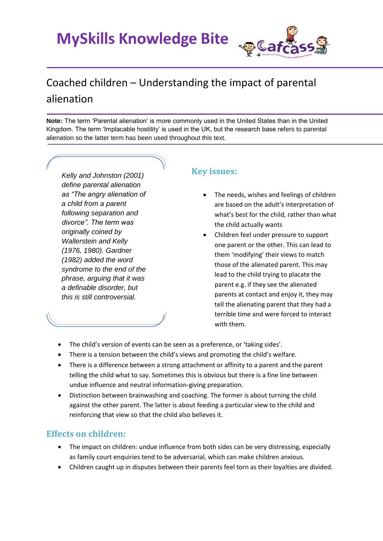**MySkills Knowledge Bite** 



# Coached children – Understanding the impact of parental alienation

**Note:** The term 'Parental alienation' is more commonly used in the United States than in the United Kingdom. The term 'Implacable hostility' is used in the UK, but the research base refers to parental alienation so the latter term has been used throughout this text.

*Kelly and Johnston (2001) define parental alienation as "The angry alienation of a child from a parent following separation and divorce". The term was originally coined by Wallerstein and Kelly (1976, 1980). Gardner (1982) added the word syndrome to the end of the phrase, arguing that it was a definable disorder, but this is still controversial.* 

#### **Key issues:**

- The needs, wishes and feelings of children are based on the adult's interpretation of what's best for the child, rather than what the child actually wants
- Children feel under pressure to support one parent or the other. This can lead to them 'modifying' their views to match those of the alienated parent. This may lead to the child trying to placate the parent e.g. if they see the alienated parents at contact and enjoy it, they may tell the alienating parent that they had a terrible time and were forced to interact with them.
- The child's version of events can be seen as a preference, or 'taking sides'.
- There is a tension between the child's views and promoting the child's welfare.
- There is a difference between a strong attachment or affinity to a parent and the parent telling the child what to say. Sometimes this is obvious but there is a fine line between undue influence and neutral information-giving preparation.
- Distinction between brainwashing and coaching. The former is about turning the child against the other parent. The latter is about feeding a particular view to the child and reinforcing that view so that the child also believes it.

## **Effects on children:**

- The impact on children: undue influence from both sides can be very distressing, especially as family court enquiries tend to be adversarial, which can make children anxious.
- Children caught up in disputes between their parents feel torn as their loyalties are divided.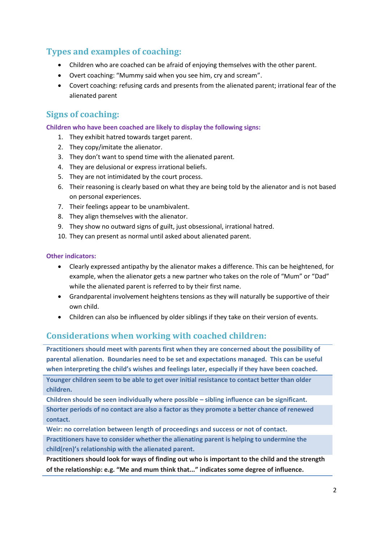# **Types and examples of coaching:**

- Children who are coached can be afraid of enjoying themselves with the other parent.
- Overt coaching: "Mummy said when you see him, cry and scream".
- Covert coaching: refusing cards and presents from the alienated parent; irrational fear of the alienated parent

### **Signs of coaching:**

**Children who have been coached are likely to display the following signs:**

- 1. They exhibit hatred towards target parent.
- 2. They copy/imitate the alienator.
- 3. They don't want to spend time with the alienated parent.
- 4. They are delusional or express irrational beliefs.
- 5. They are not intimidated by the court process.
- 6. Their reasoning is clearly based on what they are being told by the alienator and is not based on personal experiences.
- 7. Their feelings appear to be unambivalent.
- 8. They align themselves with the alienator.
- 9. They show no outward signs of guilt, just obsessional, irrational hatred.
- 10. They can present as normal until asked about alienated parent.

#### **Other indicators:**

- Clearly expressed antipathy by the alienator makes a difference. This can be heightened, for example, when the alienator gets a new partner who takes on the role of "Mum" or "Dad" while the alienated parent is referred to by their first name.
- Grandparental involvement heightens tensions as they will naturally be supportive of their own child.
- Children can also be influenced by older siblings if they take on their version of events.

#### **Considerations when working with coached children:**

**Practitioners should meet with parents first when they are concerned about the possibility of parental alienation. Boundaries need to be set and expectations managed. This can be useful when interpreting the child's wishes and feelings later, especially if they have been coached.** 

**Younger children seem to be able to get over initial resistance to contact better than older children.**

**Children should be seen individually where possible – sibling influence can be significant. Shorter periods of no contact are also a factor as they promote a better chance of renewed contact.**

**Weir: no correlation between length of proceedings and success or not of contact.**

**Practitioners have to consider whether the alienating parent is helping to undermine the child(ren)'s relationship with the alienated parent.**

**Practitioners should look for ways of finding out who is important to the child and the strength of the relationship: e.g. "Me and mum think that..." indicates some degree of influence.**